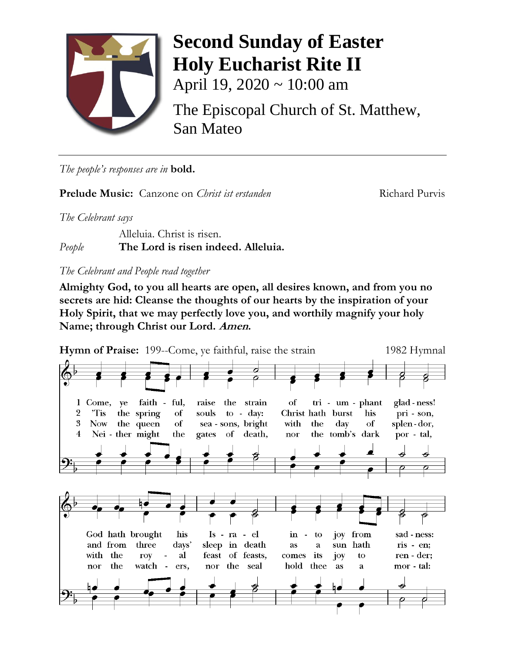

# **Second Sunday of Easter Holy Eucharist Rite II**

April 19, 2020 ~ 10:00 am

The Episcopal Church of St. Matthew, San Mateo

*The people's responses are in* **bold.**

**Prelude Music:** Canzone on *Christ ist erstanden* Richard Purvis

*The Celebrant says*

Alleluia. Christ is risen. *People* **The Lord is risen indeed. Alleluia.**

*The Celebrant and People read together*

**Almighty God, to you all hearts are open, all desires known, and from you no secrets are hid: Cleanse the thoughts of our hearts by the inspiration of your Holy Spirit, that we may perfectly love you, and worthily magnify your holy Name; through Christ our Lord. Amen.**

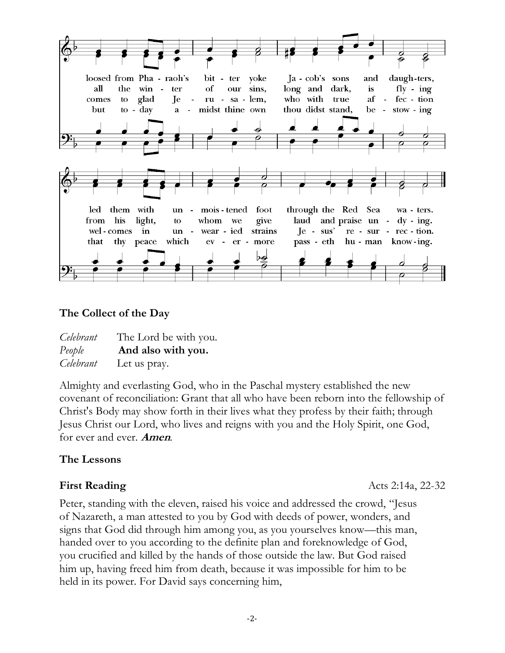

## **The Collect of the Day**

| Celebrant | The Lord be with you. |
|-----------|-----------------------|
| People    | And also with you.    |
| Celebrant | Let us pray.          |

Almighty and everlasting God, who in the Paschal mystery established the new covenant of reconciliation: Grant that all who have been reborn into the fellowship of Christ's Body may show forth in their lives what they profess by their faith; through Jesus Christ our Lord, who lives and reigns with you and the Holy Spirit, one God, for ever and ever. **Amen***.*

## **The Lessons**

Peter, standing with the eleven, raised his voice and addressed the crowd, "Jesus of Nazareth, a man attested to you by God with deeds of power, wonders, and signs that God did through him among you, as you yourselves know—this man, handed over to you according to the definite plan and foreknowledge of God, you crucified and killed by the hands of those outside the law. But God raised him up, having freed him from death, because it was impossible for him to be held in its power. For David says concerning him,

**First Reading** Acts 2:14a, 22-32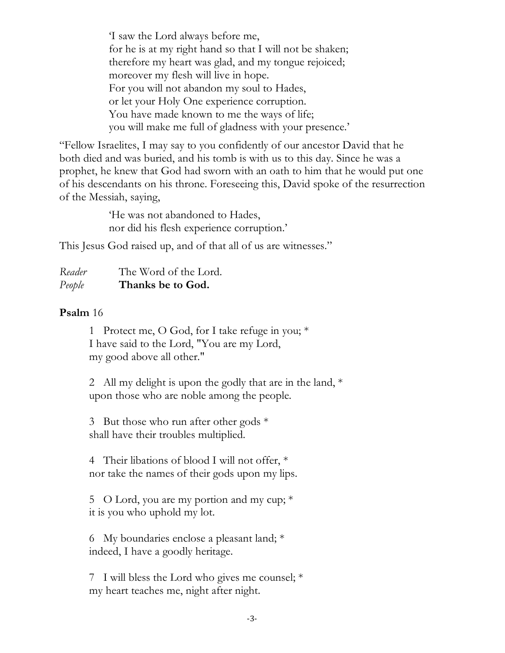'I saw the Lord always before me, for he is at my right hand so that I will not be shaken; therefore my heart was glad, and my tongue rejoiced; moreover my flesh will live in hope. For you will not abandon my soul to Hades, or let your Holy One experience corruption. You have made known to me the ways of life; you will make me full of gladness with your presence.'

"Fellow Israelites, I may say to you confidently of our ancestor David that he both died and was buried, and his tomb is with us to this day. Since he was a prophet, he knew that God had sworn with an oath to him that he would put one of his descendants on his throne. Foreseeing this, David spoke of the resurrection of the Messiah, saying,

> 'He was not abandoned to Hades, nor did his flesh experience corruption.'

This Jesus God raised up, and of that all of us are witnesses."

| Reader | The Word of the Lord. |
|--------|-----------------------|
| People | Thanks be to God.     |

## **Psalm** 16

1 Protect me, O God, for I take refuge in you; \* I have said to the Lord, "You are my Lord, my good above all other."

2 All my delight is upon the godly that are in the land,  $*$ upon those who are noble among the people.

3 But those who run after other gods \* shall have their troubles multiplied.

4 Their libations of blood I will not offer, \* nor take the names of their gods upon my lips.

5 O Lord, you are my portion and my cup;  $*$ it is you who uphold my lot.

6 My boundaries enclose a pleasant land; \* indeed, I have a goodly heritage.

7 I will bless the Lord who gives me counsel; \* my heart teaches me, night after night.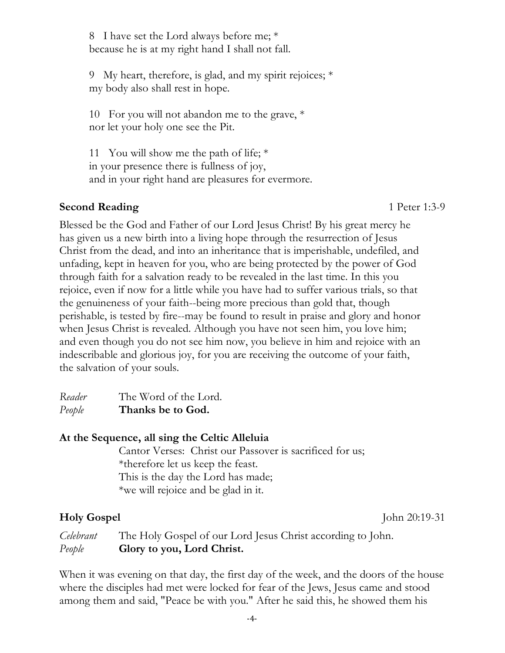8 I have set the Lord always before me; \* because he is at my right hand I shall not fall.

9 My heart, therefore, is glad, and my spirit rejoices; \* my body also shall rest in hope.

10 For you will not abandon me to the grave, \* nor let your holy one see the Pit.

11 You will show me the path of life; \* in your presence there is fullness of joy, and in your right hand are pleasures for evermore.

## **Second Reading** 1 Peter 1:3-9

Blessed be the God and Father of our Lord Jesus Christ! By his great mercy he has given us a new birth into a living hope through the resurrection of Jesus Christ from the dead, and into an inheritance that is imperishable, undefiled, and unfading, kept in heaven for you, who are being protected by the power of God through faith for a salvation ready to be revealed in the last time. In this you rejoice, even if now for a little while you have had to suffer various trials, so that the genuineness of your faith--being more precious than gold that, though perishable, is tested by fire--may be found to result in praise and glory and honor when Jesus Christ is revealed. Although you have not seen him, you love him; and even though you do not see him now, you believe in him and rejoice with an indescribable and glorious joy, for you are receiving the outcome of your faith, the salvation of your souls.

| Reader | The Word of the Lord. |
|--------|-----------------------|
| People | Thanks be to God.     |

## **At the Sequence, all sing the Celtic Alleluia**

Cantor Verses: Christ our Passover is sacrificed for us; \*therefore let us keep the feast. This is the day the Lord has made; \*we will rejoice and be glad in it.

**Holy Gospel** John 20:19-31

*Celebrant* The Holy Gospel of our Lord Jesus Christ according to John. *People* **Glory to you, Lord Christ.**

When it was evening on that day, the first day of the week, and the doors of the house where the disciples had met were locked for fear of the Jews, Jesus came and stood among them and said, "Peace be with you." After he said this, he showed them his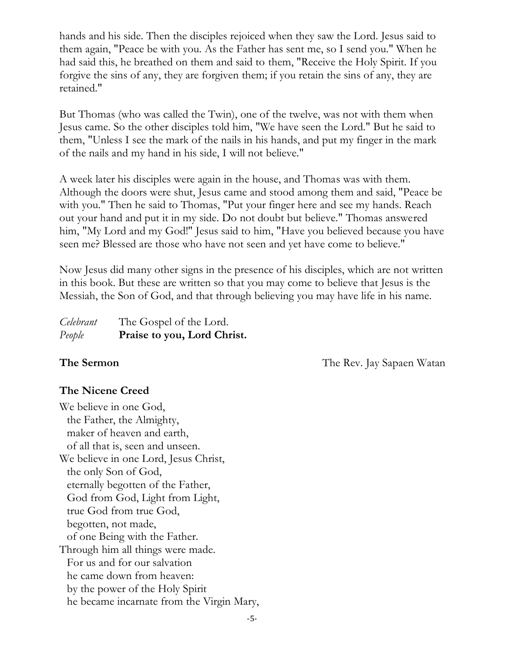hands and his side. Then the disciples rejoiced when they saw the Lord. Jesus said to them again, "Peace be with you. As the Father has sent me, so I send you." When he had said this, he breathed on them and said to them, "Receive the Holy Spirit. If you forgive the sins of any, they are forgiven them; if you retain the sins of any, they are retained."

But Thomas (who was called the Twin), one of the twelve, was not with them when Jesus came. So the other disciples told him, "We have seen the Lord." But he said to them, "Unless I see the mark of the nails in his hands, and put my finger in the mark of the nails and my hand in his side, I will not believe."

A week later his disciples were again in the house, and Thomas was with them. Although the doors were shut, Jesus came and stood among them and said, "Peace be with you." Then he said to Thomas, "Put your finger here and see my hands. Reach out your hand and put it in my side. Do not doubt but believe." Thomas answered him, "My Lord and my God!" Jesus said to him, "Have you believed because you have seen me? Blessed are those who have not seen and yet have come to believe."

Now Jesus did many other signs in the presence of his disciples, which are not written in this book. But these are written so that you may come to believe that Jesus is the Messiah, the Son of God, and that through believing you may have life in his name.

## *Celebrant* The Gospel of the Lord. *People* **Praise to you, Lord Christ.**

**The Sermon** The Rev. Jay Sapaen Watan

## **The Nicene Creed**

We believe in one God, the Father, the Almighty, maker of heaven and earth, of all that is, seen and unseen. We believe in one Lord, Jesus Christ, the only Son of God, eternally begotten of the Father, God from God, Light from Light, true God from true God, begotten, not made, of one Being with the Father. Through him all things were made. For us and for our salvation he came down from heaven: by the power of the Holy Spirit he became incarnate from the Virgin Mary,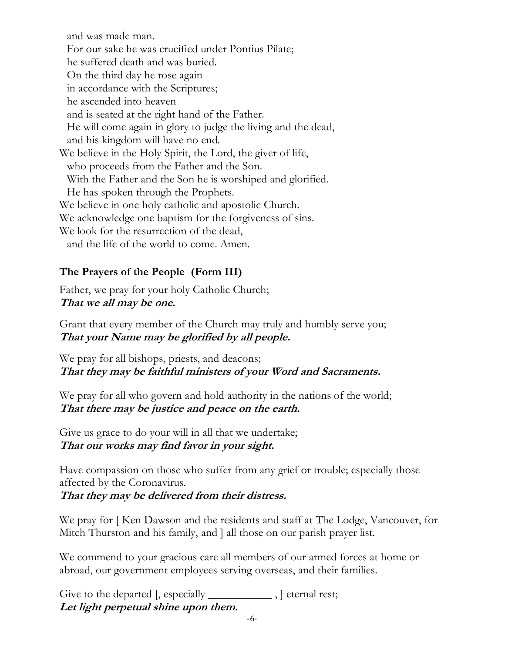and was made man. For our sake he was crucified under Pontius Pilate; he suffered death and was buried. On the third day he rose again in accordance with the Scriptures; he ascended into heaven and is seated at the right hand of the Father. He will come again in glory to judge the living and the dead, and his kingdom will have no end. We believe in the Holy Spirit, the Lord, the giver of life, who proceeds from the Father and the Son. With the Father and the Son he is worshiped and glorified. He has spoken through the Prophets. We believe in one holy catholic and apostolic Church. We acknowledge one baptism for the forgiveness of sins. We look for the resurrection of the dead, and the life of the world to come. Amen.

## **The Prayers of the People (Form III)**

Father, we pray for your holy Catholic Church; **That we all may be one.**

Grant that every member of the Church may truly and humbly serve you; **That your Name may be glorified by all people.**

We pray for all bishops, priests, and deacons; **That they may be faithful ministers of your Word and Sacraments.**

We pray for all who govern and hold authority in the nations of the world; **That there may be justice and peace on the earth.**

Give us grace to do your will in all that we undertake; **That our works may find favor in your sight.**

Have compassion on those who suffer from any grief or trouble; especially those affected by the Coronavirus.

**That they may be delivered from their distress.**

We pray for [ Ken Dawson and the residents and staff at The Lodge, Vancouver, for Mitch Thurston and his family, and all those on our parish prayer list.

We commend to your gracious care all members of our armed forces at home or abroad, our government employees serving overseas, and their families.

Give to the departed [, especially \_\_\_\_\_\_\_\_\_\_\_\_\_\_\_, ] eternal rest; **Let light perpetual shine upon them.**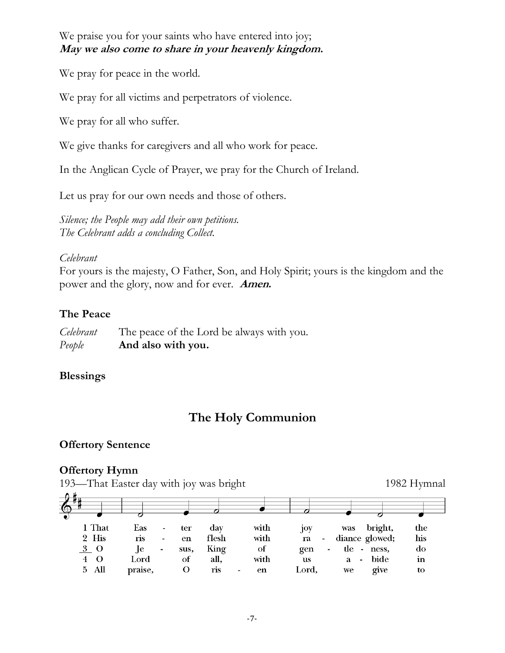We praise you for your saints who have entered into joy; **May we also come to share in your heavenly kingdom.**

We pray for peace in the world.

We pray for all victims and perpetrators of violence.

We pray for all who suffer.

We give thanks for caregivers and all who work for peace.

In the Anglican Cycle of Prayer, we pray for the Church of Ireland.

Let us pray for our own needs and those of others.

*Silence; the People may add their own petitions. The Celebrant adds a concluding Collect.*

## *Celebrant*

For yours is the majesty, O Father, Son, and Holy Spirit; yours is the kingdom and the power and the glory, now and for ever. **Amen.**

## **The Peace**

| Celebrant | The peace of the Lord be always with you. |
|-----------|-------------------------------------------|
| People    | And also with you.                        |

## **Blessings**

## **The Holy Communion**

## **Offertory Sentence**

## **Offertory Hymn**

193—That Easter day with joy was bright 1982 Hymnal

| ∙          |               |                        |       |              |                       |                               |                    |
|------------|---------------|------------------------|-------|--------------|-----------------------|-------------------------------|--------------------|
| 1 That     | Eas           | ter<br>٠               | dav   | with         | joy                   | bright,<br>was                | the                |
| 2 His      | ris           | en<br>$\blacksquare$   | flesh | with         | ra<br>$\sim$          | diance glowed;                | his                |
| $3\quad$ O | -le           | sus,<br>$\blacksquare$ | King  | of           | gen<br>$\blacksquare$ | tle - ness,                   | do                 |
| $4\quad$ O | $_{\rm Lord}$ | of                     | all,  | with         | <b>us</b>             | bide<br>$\blacksquare$<br>a - | $\mathbf{\dot{m}}$ |
| $5$ All    | praise,       | O                      | ris   | en<br>$\sim$ | $_{\rm Lord,}$        | give<br>we                    | to                 |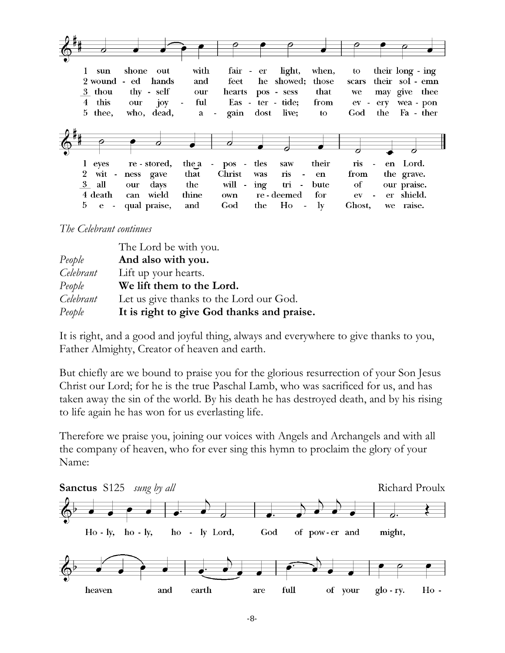| sun                                                                                                | shone<br>out                                                                | with                                 | Θ<br>fair - er light,                                                   | when,                                                                                                                                             | their long - ing<br>to.                                                                                                           |
|----------------------------------------------------------------------------------------------------|-----------------------------------------------------------------------------|--------------------------------------|-------------------------------------------------------------------------|---------------------------------------------------------------------------------------------------------------------------------------------------|-----------------------------------------------------------------------------------------------------------------------------------|
| 3 thou<br>this<br>$\overline{4}$<br>5 thee,                                                        | 2 wound - ed hands<br>$thy - self$<br>joy<br>our<br>who, dead,              | and<br>our<br>ful<br>$\sim$<br>$a -$ | feet<br>hearts<br>Eas - ter - tide;<br>gain                             | he showed;<br>those<br>that<br>pos - sess<br>from<br>dost live;<br>to                                                                             | their sol - emn<br>scars<br>may give thee<br>we<br>wea - pon<br>ev - ery<br>the<br>God<br>- Fa - ther                             |
|                                                                                                    |                                                                             |                                      |                                                                         |                                                                                                                                                   | 7                                                                                                                                 |
| eyes<br>$\overline{2}$<br>wit<br>$\overline{\phantom{a}}$<br>$3 \text{ all}$<br>4 death<br>$5$ e - | re - stored,<br>gave<br>ness<br>days<br>our<br>wield<br>can<br>qual praise, | the a<br>that<br>the<br>thine<br>and | $-$ pos $-$ tles<br>Christ<br>was<br>will -<br>ing<br>own<br>God<br>the | their<br>saw<br>$\dot{\rm ns}$<br>en<br>$\qquad \qquad -$<br>tri<br>bute<br>$\blacksquare$<br>re - deemed<br>for<br>Ho<br>$-1y$<br>$\blacksquare$ | en Lord.<br>ris<br>$\blacksquare$<br>the grave.<br>from<br>our praise.<br>of<br>er shield.<br>ev<br>$\sim$<br>Ghost,<br>we raise. |

*The Celebrant continues*

|           | The Lord be with you.                      |
|-----------|--------------------------------------------|
| People    | And also with you.                         |
| Celebrant | Lift up your hearts.                       |
| People    | We lift them to the Lord.                  |
| Celebrant | Let us give thanks to the Lord our God.    |
| People    | It is right to give God thanks and praise. |

It is right, and a good and joyful thing, always and everywhere to give thanks to you, Father Almighty, Creator of heaven and earth.

But chiefly are we bound to praise you for the glorious resurrection of your Son Jesus Christ our Lord; for he is the true Paschal Lamb, who was sacrificed for us, and has taken away the sin of the world. By his death he has destroyed death, and by his rising to life again he has won for us everlasting life.

Therefore we praise you, joining our voices with Angels and Archangels and with all the company of heaven, who for ever sing this hymn to proclaim the glory of your Name:

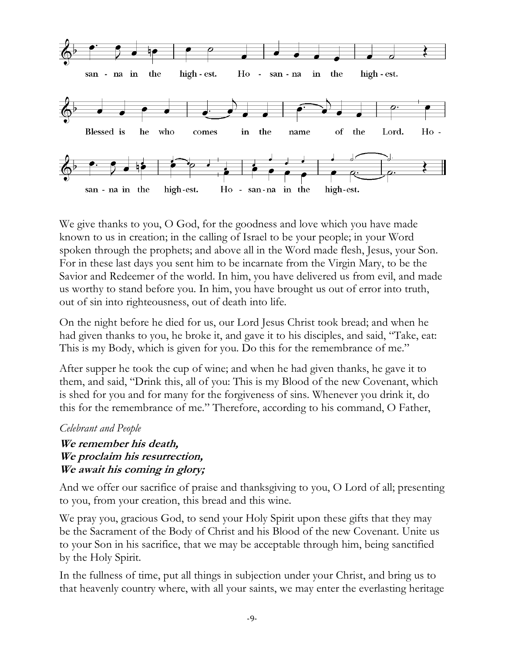

We give thanks to you, O God, for the goodness and love which you have made known to us in creation; in the calling of Israel to be your people; in your Word spoken through the prophets; and above all in the Word made flesh, Jesus, your Son. For in these last days you sent him to be incarnate from the Virgin Mary, to be the Savior and Redeemer of the world. In him, you have delivered us from evil, and made us worthy to stand before you. In him, you have brought us out of error into truth, out of sin into righteousness, out of death into life.

On the night before he died for us, our Lord Jesus Christ took bread; and when he had given thanks to you, he broke it, and gave it to his disciples, and said, "Take, eat: This is my Body, which is given for you. Do this for the remembrance of me."

After supper he took the cup of wine; and when he had given thanks, he gave it to them, and said, "Drink this, all of you: This is my Blood of the new Covenant, which is shed for you and for many for the forgiveness of sins. Whenever you drink it, do this for the remembrance of me." Therefore, according to his command, O Father,

## *Celebrant and People*

**We remember his death, We proclaim his resurrection, We await his coming in glory;**

And we offer our sacrifice of praise and thanksgiving to you, O Lord of all; presenting to you, from your creation, this bread and this wine.

We pray you, gracious God, to send your Holy Spirit upon these gifts that they may be the Sacrament of the Body of Christ and his Blood of the new Covenant. Unite us to your Son in his sacrifice, that we may be acceptable through him, being sanctified by the Holy Spirit.

In the fullness of time, put all things in subjection under your Christ, and bring us to that heavenly country where, with all your saints, we may enter the everlasting heritage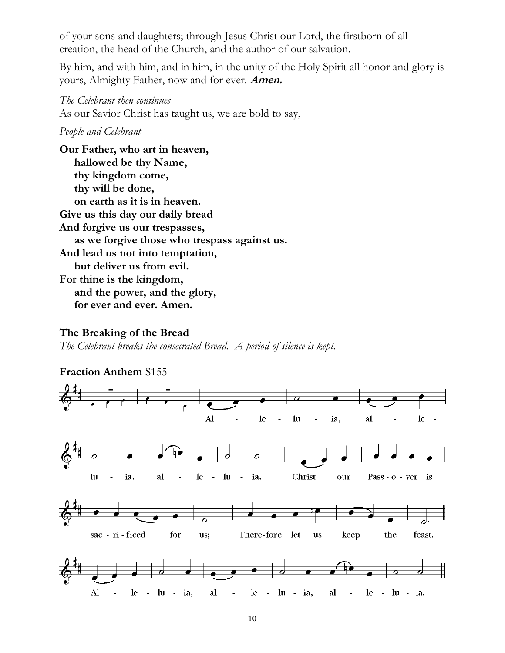of your sons and daughters; through Jesus Christ our Lord, the firstborn of all creation, the head of the Church, and the author of our salvation.

By him, and with him, and in him, in the unity of the Holy Spirit all honor and glory is yours, Almighty Father, now and for ever. **Amen.**

## *The Celebrant then continues*

As our Savior Christ has taught us, we are bold to say,

### *People and Celebrant*

**Our Father, who art in heaven, hallowed be thy Name, thy kingdom come, thy will be done, on earth as it is in heaven. Give us this day our daily bread And forgive us our trespasses, as we forgive those who trespass against us. And lead us not into temptation, but deliver us from evil. For thine is the kingdom, and the power, and the glory, for ever and ever. Amen.**

## **The Breaking of the Bread**

*The Celebrant breaks the consecrated Bread. A period of silence is kept.*

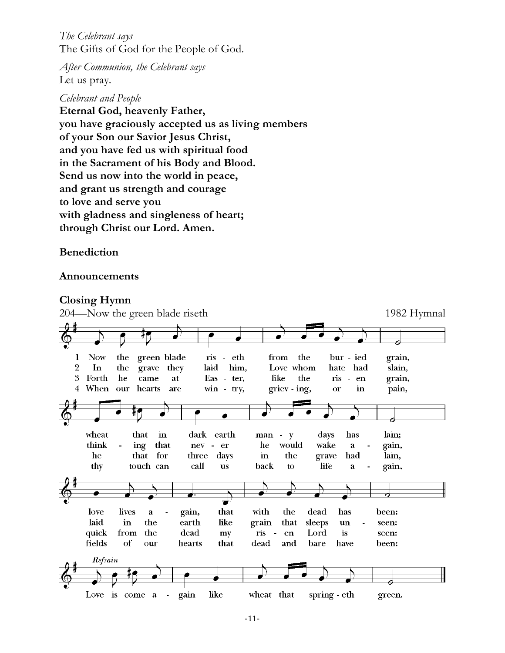*The Celebrant says* The Gifts of God for the People of God.

*After Communion, the Celebrant says* Let us pray.

## *Celebrant and People*

**Eternal God, heavenly Father, you have graciously accepted us as living members of your Son our Savior Jesus Christ, and you have fed us with spiritual food in the Sacrament of his Body and Blood. Send us now into the world in peace, and grant us strength and courage to love and serve you with gladness and singleness of heart; through Christ our Lord. Amen.**

## **Benediction**

## **Announcements**

### **Closing Hymn** 204—Now the green blade riseth 1982 Hymnal **Now** green blade ris - eth from bur - ied  $\mathbf{1}$ the the grain,  $\overline{2}$ In the grave they laid him, Love whom had slain, hate 3 Forth he came like the at Eas - ter, ris - en grain, 4 When our hearts are  $win - try,$ griev - ing, or  $\mathbf{m}$ pain, wheat dark earth days that  $\mathbf{m}$ man - y has lain; think that would wake ing nev - er he  $\bf a$ gain, he that for three days the grave had lain, in thy touch can call **us** back to life a gain, love **lives**  $\mathbf{a}$ gain, that with the dead has been: laid like that sleeps  $\mathbf{in}$ the earth grain  $\mathbf{u}$ seen: quick from the dead my  $ris -$ Lord en is seen: fields of our hearts that dead and bare have been: Refrain Love is come a  $\mathbb{Z}^2$ gain like wheat that spring - eth green.